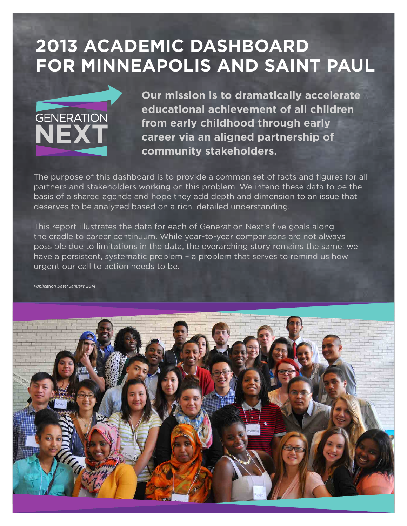# **2013 ACADEMIC DASHBOARD FOR MINNEAPOLIS AND SAINT PAUL**



**Our mission is to dramatically accelerate educational achievement of all children from early childhood through early career via an aligned partnership of community stakeholders.**

The purpose of this dashboard is to provide a common set of facts and figures for all partners and stakeholders working on this problem. We intend these data to be the basis of a shared agenda and hope they add depth and dimension to an issue that deserves to be analyzed based on a rich, detailed understanding.

This report illustrates the data for each of Generation Next's five goals along the cradle to career continuum. While year-to-year comparisons are not always possible due to limitations in the data, the overarching story remains the same: we have a persistent, systematic problem - a problem that serves to remind us how urgent our call to action needs to be.

*Publication Date: January 2014*

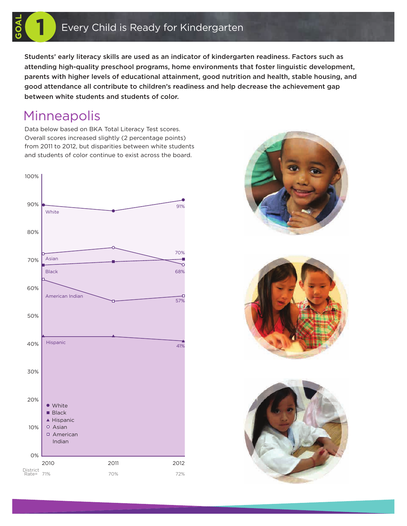Students' early literacy skills are used as an indicator of kindergarten readiness. Factors such as attending high-quality preschool programs, home environments that foster linguistic development, parents with higher levels of educational attainment, good nutrition and health, stable housing, and good attendance all contribute to children's readiness and help decrease the achievement gap between white students and students of color.

# Minneapolis

**GOAL**

Data below based on BKA Total Literacy Test scores. Overall scores increased slightly (2 percentage points) from 2011 to 2012, but disparities between white students and students of color continue to exist across the board.







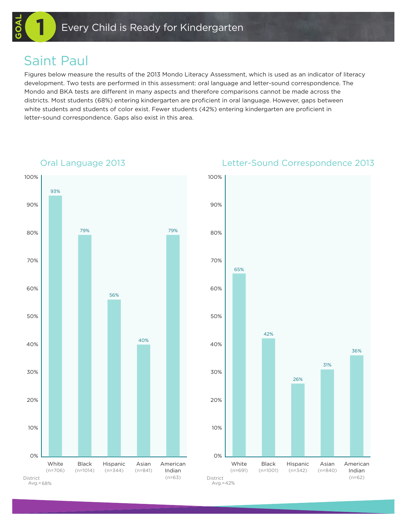### Saint Paul

**GOAL**

Figures below measure the results of the 2013 Mondo Literacy Assessment, which is used as an indicator of literacy development. Two tests are performed in this assessment: oral language and letter-sound correspondence. The Mondo and BKA tests are different in many aspects and therefore comparisons cannot be made across the districts. Most students (68%) entering kindergarten are proficient in oral language. However, gaps between white students and students of color exist. Fewer students (42%) entering kindergarten are proficient in letter-sound correspondence. Gaps also exist in this area.



### Oral Language 2013 Letter-Sound Correspondence 2013

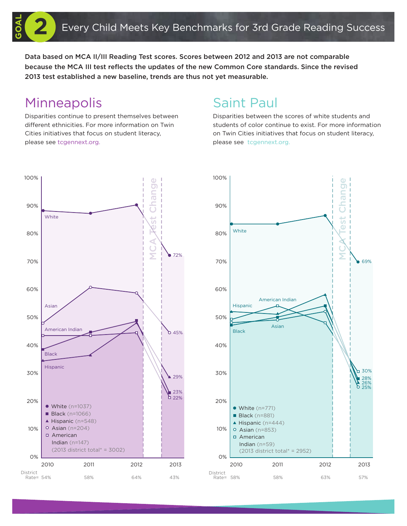Data based on MCA II/III Reading Test scores. Scores between 2012 and 2013 are not comparable because the MCA III test reflects the updates of the new Common Core standards. Since the revised 2013 test established a new baseline, trends are thus not yet measurable.

## Minneapolis

**GOAL**

Disparities continue to present themselves between different ethnicities. For more information on Twin Cities initiatives that focus on student literacy, please see tcgennext.org.

# Saint Paul

Disparities between the scores of white students and students of color continue to exist. For more information on Twin Cities initiatives that focus on student literacy, please see tcgennext.org.



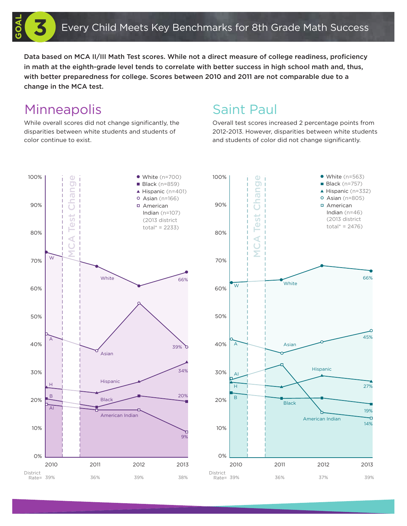Data based on MCA II/III Math Test scores. While not a direct measure of college readiness, proficiency in math at the eighth-grade level tends to correlate with better success in high school math and, thus, with better preparedness for college. Scores between 2010 and 2011 are not comparable due to a change in the MCA test.

# Minneapolis

While overall scores did not change significantly, the disparities between white students and students of color continue to exist.

# Saint Paul

Overall test scores increased 2 percentage points from 2012-2013. However, disparities between white students and students of color did not change significantly.



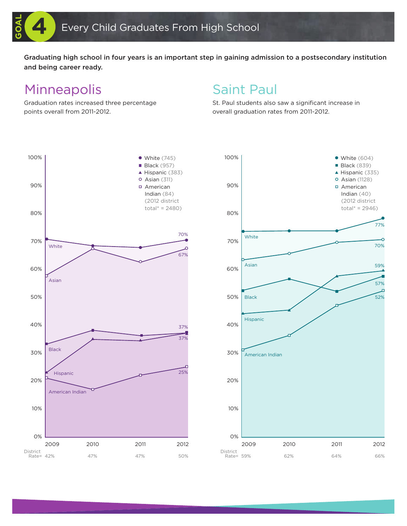Graduating high school in four years is an important step in gaining admission to a postsecondary institution and being career ready.

## Minneapolis

**GOAL**

Graduation rates increased three percentage points overall from 2011-2012.

### Saint Paul

St. Paul students also saw a significant increase in overall graduation rates from 2011-2012.



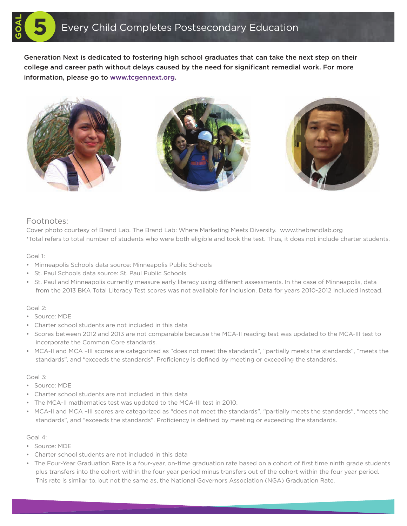Generation Next is dedicated to fostering high school graduates that can take the next step on their college and career path without delays caused by the need for significant remedial work. For more information, please go to www.tcgennext.org.



### Footnotes:

Cover photo courtesy of Brand Lab. The Brand Lab: Where Marketing Meets Diversity. www.thebrandlab.org \*Total refers to total number of students who were both eligible and took the test. Thus, it does not include charter students.

Goal 1:

**GOAL**

- Minneapolis Schools data source: Minneapolis Public Schools
- St. Paul Schools data source: St. Paul Public Schools
- St. Paul and Minneapolis currently measure early literacy using different assessments. In the case of Minneapolis, data from the 2013 BKA Total Literacy Test scores was not available for inclusion. Data for years 2010-2012 included instead.

### Goal 2:

- Source: MDE
- Charter school students are not included in this data
- Scores between 2012 and 2013 are not comparable because the MCA-II reading test was updated to the MCA-III test to incorporate the Common Core standards.
- MCA-II and MCA –III scores are categorized as "does not meet the standards", "partially meets the standards", "meets the standards", and "exceeds the standards". Proficiency is defined by meeting or exceeding the standards.

### Goal 3:

- Source: MDE
- Charter school students are not included in this data
- The MCA-II mathematics test was updated to the MCA-III test in 2010.
- MCA-II and MCA –III scores are categorized as "does not meet the standards", "partially meets the standards", "meets the standards", and "exceeds the standards". Proficiency is defined by meeting or exceeding the standards.

### Goal 4:

- Source: MDE
- Charter school students are not included in this data
- The Four-Year Graduation Rate is a four-year, on-time graduation rate based on a cohort of first time ninth grade students plus transfers into the cohort within the four year period minus transfers out of the cohort within the four year period. This rate is similar to, but not the same as, the National Governors Association (NGA) Graduation Rate.